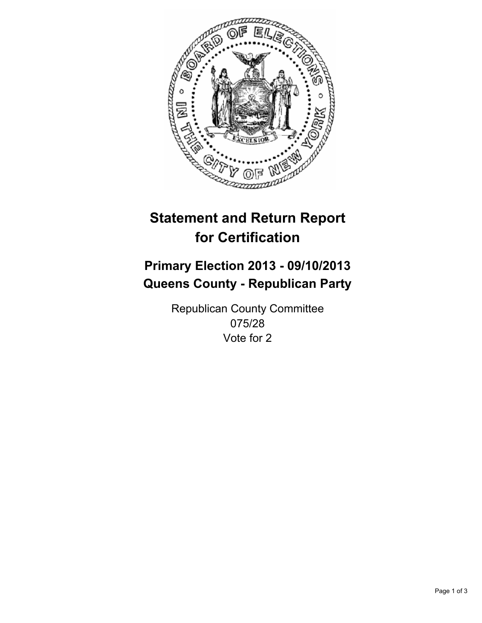

# **Statement and Return Report for Certification**

## **Primary Election 2013 - 09/10/2013 Queens County - Republican Party**

Republican County Committee 075/28 Vote for 2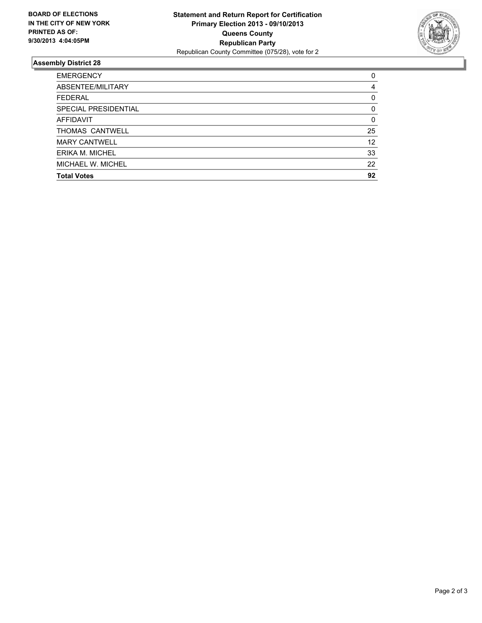

### **Assembly District 28**

| <b>EMERGENCY</b>     | 0        |
|----------------------|----------|
| ABSENTEE/MILITARY    | 4        |
| <b>FEDERAL</b>       | 0        |
| SPECIAL PRESIDENTIAL | 0        |
| <b>AFFIDAVIT</b>     | $\Omega$ |
| THOMAS CANTWELL      | 25       |
| <b>MARY CANTWELL</b> | 12       |
| ERIKA M. MICHEL      | 33       |
| MICHAEL W. MICHEL    | 22       |
| <b>Total Votes</b>   | 92       |